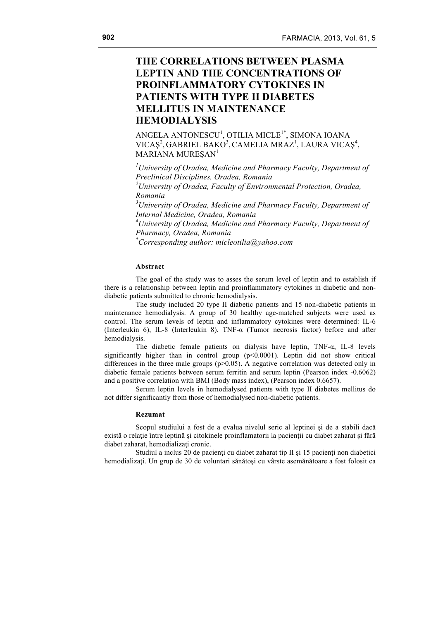# **THE CORRELATIONS BETWEEN PLASMA LEPTIN AND THE CONCENTRATIONS OF PROINFLAMMATORY CYTOKINES IN PATIENTS WITH TYPE II DIABETES MELLITUS IN MAINTENANCE HEMODIALYSIS**

 $\mathsf{ANGELA}\ \mathsf{ANTONESCU}^1, \mathsf{OTILIA}\ \mathsf{MICLE}^{1*}, \mathsf{SIMONA}\ \mathsf{IOANA}$ VICAŞ<sup>2</sup>, GABRIEL BAKO<sup>3</sup>, CAMELIA MRAZ<sup>1</sup>, LAURA VICAŞ<sup>4</sup>, MARIANA MUREŞAN<sup>1</sup>

*1 University of Oradea, Medicine and Pharmacy Faculty, Department of Preclinical Disciplines, Oradea, Romania 2 University of Oradea, Faculty of Environmental Protection, Oradea, Romania 3 University of Oradea, Medicine and Pharmacy Faculty, Department of Internal Medicine, Oradea, Romania 4 University of Oradea, Medicine and Pharmacy Faculty, Department of Pharmacy, Oradea, Romania \* Corresponding author: micleotilia@yahoo.com*

#### **Abstract**

The goal of the study was to asses the serum level of leptin and to establish if there is a relationship between leptin and proinflammatory cytokines in diabetic and nondiabetic patients submitted to chronic hemodialysis.

The study included 20 type II diabetic patients and 15 non-diabetic patients in maintenance hemodialysis. A group of 30 healthy age-matched subjects were used as control. The serum levels of leptin and inflammatory cytokines were determined: IL-6 (Interleukin 6), IL-8 (Interleukin 8), TNF-α (Tumor necrosis factor) before and after hemodialysis.

The diabetic female patients on dialysis have leptin,  $TNF-\alpha$ , IL-8 levels significantly higher than in control group  $(p<0.0001)$ . Leptin did not show critical differences in the three male groups  $(p>0.05)$ . A negative correlation was detected only in diabetic female patients between serum ferritin and serum leptin (Pearson index -0.6062) and a positive correlation with BMI (Body mass index), (Pearson index 0.6657).

Serum leptin levels in hemodialysed patients with type II diabetes mellitus do not differ significantly from those of hemodialysed non-diabetic patients.

#### **Rezumat**

Scopul studiului a fost de a evalua nivelul seric al leptinei şi de a stabili dacă există o relație între leptină și citokinele proinflamatorii la pacienții cu diabet zaharat și fără diabet zaharat, hemodializati cronic.

Studiul a inclus 20 de pacienti cu diabet zaharat tip II și  $15$  pacienti non diabetici hemodializaţi. Un grup de 30 de voluntari sănătoşi cu vârste asemănătoare a fost folosit ca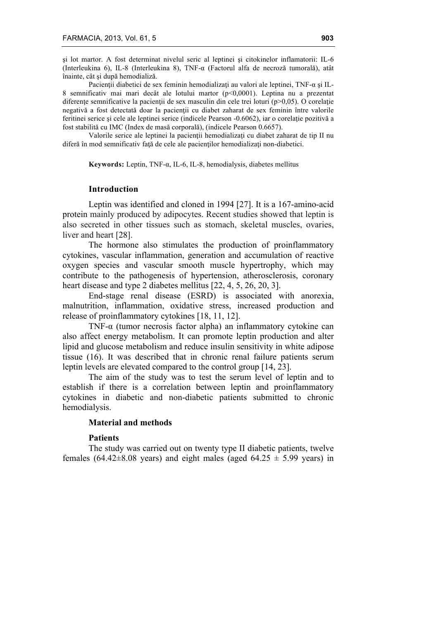şi lot martor. A fost determinat nivelul seric al leptinei şi citokinelor inflamatorii: IL-6 (Interleukina 6), IL-8 (Interleukina 8), TNF-α (Factorul alfa de necroză tumorală), atât înainte, cât şi după hemodializă.

Pacienții diabetici de sex feminin hemodializați au valori ale leptinei, TNF- $\alpha$  și IL-8 semnificativ mai mari decât ale lotului martor (p<0,0001). Leptina nu a prezentat diferențe semnificative la pacienții de sex masculin din cele trei loturi (p $>0.05$ ). O corelație negativă a fost detectată doar la pacienţii cu diabet zaharat de sex feminin între valorile feritinei serice şi cele ale leptinei serice (indicele Pearson -0.6062), iar o corelaţie pozitivă a fost stabilită cu IMC (Index de masă corporală), (indicele Pearson 0.6657).

Valorile serice ale leptinei la pacienţii hemodializaţi cu diabet zaharat de tip II nu diferă în mod semnificativ faţă de cele ale pacienţilor hemodializaţi non-diabetici.

**Keywords:** Leptin, TNF-α, IL-6, IL-8, hemodialysis, diabetes mellitus

# **Introduction**

Leptin was identified and cloned in 1994 [27]. It is a 167-amino-acid protein mainly produced by adipocytes. Recent studies showed that leptin is also secreted in other tissues such as stomach, skeletal muscles, ovaries, liver and heart [28].

The hormone also stimulates the production of proinflammatory cytokines, vascular inflammation, generation and accumulation of reactive oxygen species and vascular smooth muscle hypertrophy, which may contribute to the pathogenesis of hypertension, atherosclerosis, coronary heart disease and type 2 diabetes mellitus [22, 4, 5, 26, 20, 3].

End-stage renal disease (ESRD) is associated with anorexia, malnutrition, inflammation, oxidative stress, increased production and release of proinflammatory cytokines [18, 11, 12].

TNF-α (tumor necrosis factor alpha) an inflammatory cytokine can also affect energy metabolism. It can promote leptin production and alter lipid and glucose metabolism and reduce insulin sensitivity in white adipose tissue (16). It was described that in chronic renal failure patients serum leptin levels are elevated compared to the control group [14, 23].

The aim of the study was to test the serum level of leptin and to establish if there is a correlation between leptin and proinflammatory cytokines in diabetic and non-diabetic patients submitted to chronic hemodialysis.

## **Material and methods**

## **Patients**

The study was carried out on twenty type II diabetic patients, twelve females (64.42 $\pm$ 8.08 years) and eight males (aged 64.25  $\pm$  5.99 years) in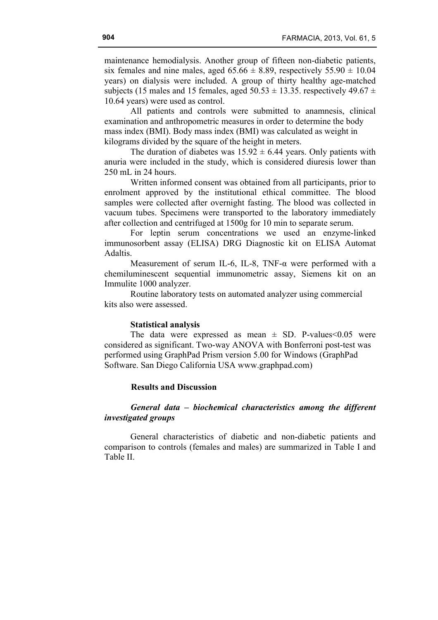maintenance hemodialysis. Another group of fifteen non-diabetic patients, six females and nine males, aged  $65.66 \pm 8.89$ , respectively  $55.90 \pm 10.04$ years) on dialysis were included. A group of thirty healthy age-matched subjects (15 males and 15 females, aged  $50.53 \pm 13.35$ . respectively 49.67  $\pm$ 10.64 years) were used as control.

All patients and controls were submitted to anamnesis, clinical examination and anthropometric measures in order to determine the body mass index (BMI). Body mass index (BMI) was calculated as weight in kilograms divided by the square of the height in meters.

The duration of diabetes was  $15.92 \pm 6.44$  years. Only patients with anuria were included in the study, which is considered diuresis lower than 250 mL in 24 hours.

Written informed consent was obtained from all participants, prior to enrolment approved by the institutional ethical committee. The blood samples were collected after overnight fasting. The blood was collected in vacuum tubes. Specimens were transported to the laboratory immediately after collection and centrifuged at 1500g for 10 min to separate serum.

For leptin serum concentrations we used an enzyme-linked immunosorbent assay (ELISA) DRG Diagnostic kit on ELISA Automat Adaltis.

Measurement of serum IL-6, IL-8, TNF-α were performed with a chemiluminescent sequential immunometric assay, Siemens kit on an Immulite 1000 analyzer.

Routine laboratory tests on automated analyzer using commercial kits also were assessed.

### **Statistical analysis**

The data were expressed as mean  $\pm$  SD. P-values < 0.05 were considered as significant. Two-way ANOVA with Bonferroni post-test was performed using GraphPad Prism version 5.00 for Windows (GraphPad Software. San Diego California USA www.graphpad.com)

# **Results and Discussion**

# *General data – biochemical characteristics among the different investigated groups*

General characteristics of diabetic and non-diabetic patients and comparison to controls (females and males) are summarized in Table I and Table II.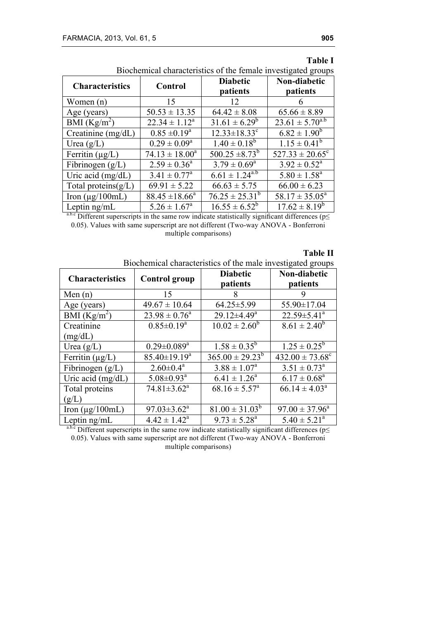| Biochemical characteristics of the female investigated groups |                            |                                |                            |  |  |  |
|---------------------------------------------------------------|----------------------------|--------------------------------|----------------------------|--|--|--|
| <b>Characteristics</b>                                        | Control                    | <b>Diabetic</b>                | Non-diabetic               |  |  |  |
|                                                               |                            | patients                       | patients                   |  |  |  |
| Women $(n)$                                                   | 15                         | 12                             | h                          |  |  |  |
| Age (years)                                                   | $50.53 \pm 13.35$          | $64.42 \pm 8.08$               | $65.66 \pm 8.89$           |  |  |  |
| BMI $(Kg/m^2)$                                                | $22.34 \pm 1.12^a$         | $31.61 \pm 6.29^b$             | $23.61 \pm 5.70^{a.b}$     |  |  |  |
| Creatinine $(mg/dL)$                                          | $0.85 \pm 0.19^a$          | $12.33 \pm 18.33$ <sup>c</sup> | $6.82 \pm 1.90^b$          |  |  |  |
| Urea $(g/L)$                                                  | $0.29 \pm 0.09^a$          | $1.40 \pm 0.18^b$              | $1.15 \pm 0.41^b$          |  |  |  |
| Ferritin $(\mu g/L)$                                          | $74.13 \pm 18.00^a$        | $500.25 \pm 8.73^b$            | $527.33 \pm 20.65^{\circ}$ |  |  |  |
| Fibrinogen $(g/L)$                                            | $2.59 \pm 0.36^a$          | $3.79 \pm 0.69^{\circ}$        | $3.92 \pm 0.52^a$          |  |  |  |
| Uric acid (mg/dL)                                             | $3.41 \pm 0.77^{\text{a}}$ | $6.61 \pm 1.24^{a.b}$          | $5.80 \pm 1.58^a$          |  |  |  |
| Total proteins $(g/L)$                                        | $69.91 \pm 5.22$           | $66.63 \pm 5.75$               | $66.00 \pm 6.23$           |  |  |  |
| Iron ( $\mu$ g/100mL)                                         | $88.45 \pm 18.66^a$        | $76.25 \pm 25.31^b$            | $58.17 \pm 35.05^a$        |  |  |  |
| Leptin ng/mL                                                  | $5.26 \pm 1.67^{\circ}$    | $16.55 \pm 6.52^b$             | $17.62 \pm 8.19^b$         |  |  |  |

| <b>Table I</b> |
|----------------|
|                |

a.b.c Different superscripts in the same row indicate statistically significant differences ( $p \leq$ 0.05). Values with same superscript are not different (Two-way ANOVA - Bonferroni multiple comparisons)

# **Table II**

Biochemical characteristics of the male investigated groups

| <b>Characteristics</b>    | <b>Control</b> group         | <b>Diabetic</b><br>patients | Non-diabetic<br>patients            |  |
|---------------------------|------------------------------|-----------------------------|-------------------------------------|--|
| Men $(n)$                 | 15                           | 8                           | 9                                   |  |
| Age (years)               | $49.67 \pm 10.64$            | $64.25 \pm 5.99$            | 55.90±17.04                         |  |
| BMI $(Kg/m^2)$            | $23.98 \pm 0.76^a$           | $29.12 \pm 4.49^a$          | $22.59 \pm 5.41^a$                  |  |
| Creatinine                | $0.85 \pm 0.19^a$            | $10.02 \pm 2.60^b$          | $8.61 \pm 2.40^b$                   |  |
| (mg/dL)                   |                              |                             |                                     |  |
| Urea $(g/L)$              | $0.29 \pm 0.089^a$           | $1.58 \pm 0.35^b$           | $1.25 \pm 0.25^b$                   |  |
| Ferritin $(\mu g/L)$      | $85.40 \pm 19.19^a$          | $365.00 \pm 29.23^b$        | $432.00 \pm 73.68$ <sup>c</sup>     |  |
| Fibrinogen $(g/L)$        | $2.60 \pm 0.4^a$             | $3.88 \pm 1.07^a$           | $3.51 \pm 0.73^a$                   |  |
| Uric acid $(mg/dL)$       | $5.08 \pm 0.93$ <sup>a</sup> | $6.41 \pm 1.26^a$           | $6.17 \pm 0.68^a$                   |  |
| Total proteins            | $74.81 \pm 3.62^a$           | $68.16 \pm 5.57^{\text{a}}$ | $66.14 \pm 4.03^a$                  |  |
| (g/L)                     |                              |                             |                                     |  |
| Iron $(\mu$ g/100mL)      | $97.03 \pm 3.62^{\text{a}}$  | $81.00 \pm 31.03^b$         | $97.00 \pm 37.96^a$                 |  |
| Leptin ng/mL<br>$abc - c$ | $4.42 \pm 1.42^a$            | $9.73 \pm 5.28^{\circ}$     | $5.40 \pm 5.21^{\circ}$<br>$\cdots$ |  |

<sup>a.b.c</sup> Different superscripts in the same row indicate statistically significant differences ( $p \leq$ 0.05). Values with same superscript are not different (Two-way ANOVA - Bonferroni multiple comparisons)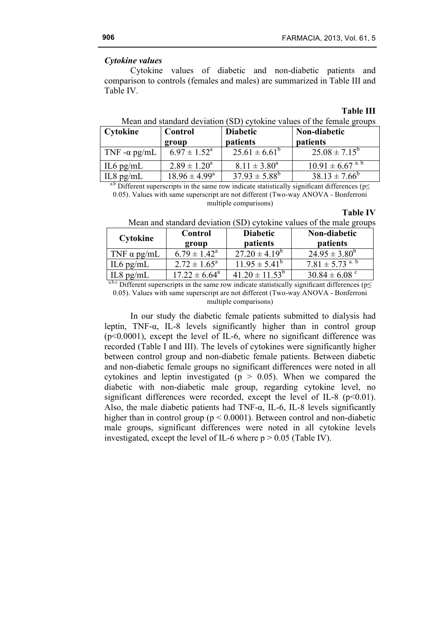# *Cytokine values*

Cytokine values of diabetic and non-diabetic patients and comparison to controls (females and males) are summarized in Table III and Table IV.

#### **Table III**

| Cytokine             | Control                    | <b>Diabetic</b>          | Non-diabetic                       |
|----------------------|----------------------------|--------------------------|------------------------------------|
|                      | group                      | patients                 | <b>patients</b>                    |
| TNF - $\alpha$ pg/mL | $6.97 \pm 1.52^{\text{a}}$ | $25.61 \pm 6.61^{\circ}$ | $25.08 \pm 7.15^b$                 |
| $IL6$ pg/mL          | $2.89 \pm 1.20^a$          | $8.11 \pm 3.80^a$        | $10.91 \pm 6.67$ <sup>a.b</sup>    |
| $IL8$ pg/mL          | $18.96 \pm 4.99^{\circ}$   | $37.93 \pm 5.88^b$       | $38.13 \pm 7.66^b$                 |
| $9h - 12h$           |                            | .                        | $\sim$ $\sim$ $\sim$ $\sim$ $\sim$ |

|  |  | Mean and standard deviation (SD) cytokine values of the female groups |  |
|--|--|-----------------------------------------------------------------------|--|
|--|--|-----------------------------------------------------------------------|--|

<sup>a.b</sup> Different superscripts in the same row indicate statistically significant differences ( $p\leq$ 0.05). Values with same superscript are not different (Two-way ANOVA - Bonferroni

#### **Table IV**

| Cytokine           | Control<br>group           | <b>Diabetic</b><br><i>patients</i> | Non-diabetic<br><i>patients</i> |
|--------------------|----------------------------|------------------------------------|---------------------------------|
| TNF $\alpha$ pg/mL | $6.79 \pm 1.42^{\text{a}}$ | $27.20 \pm 4.19^b$                 | $24.95 \pm 3.80^b$              |
| IL6 $pg/mL$        | $2.72 \pm 1.65^{\circ}$    | $11.95 \pm 5.41^{\circ}$           | $7.81 \pm 5.73$ <sup>a. b</sup> |
| $IL8$ pg/m $L$     | $17.22 \pm 6.64^{\circ}$   | $41.20 \pm 11.53^b$                | $30.84 \pm 6.08$ °              |

Mean and standard deviation (SD) cytokine values of the male groups

a.b.c Different superscripts in the same row indicate statistically significant differences ( $p \leq$ 0.05). Values with same superscript are not different (Two-way ANOVA - Bonferroni

## multiple comparisons)

In our study the diabetic female patients submitted to dialysis had leptin, TNF-α, IL-8 levels significantly higher than in control group  $(p<0.0001)$ , except the level of IL-6, where no significant difference was recorded (Table I and III). The levels of cytokines were significantly higher between control group and non-diabetic female patients. Between diabetic and non-diabetic female groups no significant differences were noted in all cytokines and leptin investigated ( $p > 0.05$ ). When we compared the diabetic with non-diabetic male group, regarding cytokine level, no significant differences were recorded, except the level of IL-8 ( $p<0.01$ ). Also, the male diabetic patients had TNF- $\alpha$ , IL-6, IL-8 levels significantly higher than in control group ( $p \le 0.0001$ ). Between control and non-diabetic male groups, significant differences were noted in all cytokine levels investigated, except the level of IL-6 where  $p > 0.05$  (Table IV).

multiple comparisons)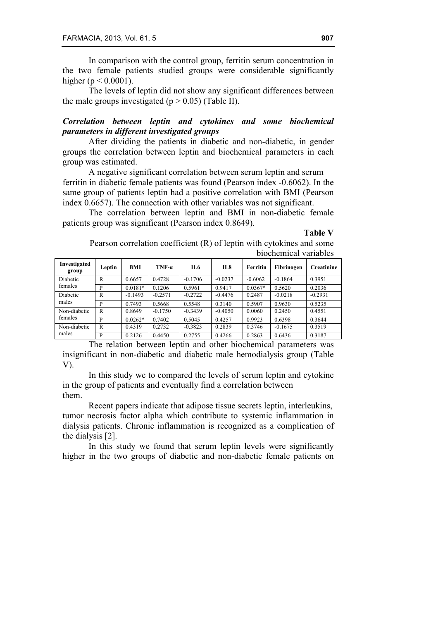In comparison with the control group, ferritin serum concentration in the two female patients studied groups were considerable significantly higher ( $p < 0.0001$ ).

The levels of leptin did not show any significant differences between the male groups investigated ( $p > 0.05$ ) (Table II).

# *Correlation between leptin and cytokines and some biochemical parameters in different investigated groups*

After dividing the patients in diabetic and non-diabetic, in gender groups the correlation between leptin and biochemical parameters in each group was estimated.

A negative significant correlation between serum leptin and serum ferritin in diabetic female patients was found (Pearson index -0.6062). In the same group of patients leptin had a positive correlation with BMI (Pearson index 0.6657). The connection with other variables was not significant.

The correlation between leptin and BMI in non-diabetic female patients group was significant (Pearson index 0.8649).

**Table V**

| Investigated<br>group | Leptin    | BMI       | $TNF-a$   | IL6       | IL8       | Ferritin  | Fibrinogen | <b>Creatinine</b> |
|-----------------------|-----------|-----------|-----------|-----------|-----------|-----------|------------|-------------------|
| Diabetic              | R         | 0.6657    | 0.4728    | $-0.1706$ | $-0.0237$ | $-0.6062$ | $-0.1864$  | 0.3951            |
| females<br>P          | $0.0181*$ | 0.1206    | 0.5961    | 0.9417    | $0.0367*$ | 0.5620    | 0.2036     |                   |
| Diabetic              | R         | $-0.1493$ | $-0.2571$ | $-0.2722$ | $-0.4476$ | 0.2487    | $-0.0218$  | $-0.2931$         |
| males                 | P         | 0.7493    | 0.5668    | 0.5548    | 0.3140    | 0.5907    | 0.9630     | 0.5235            |
| Non-diabetic          | R         | 0.8649    | $-0.1750$ | $-0.3439$ | $-0.4050$ | 0.0060    | 0.2450     | 0.4551            |
| females<br>P          | $0.0262*$ | 0.7402    | 0.5045    | 0.4257    | 0.9923    | 0.6398    | 0.3644     |                   |
| Non-diabetic<br>males | R         | 0.4319    | 0.2732    | $-0.3823$ | 0.2839    | 0.3746    | $-0.1675$  | 0.3519            |
|                       | P         | 0.2126    | 0.4450    | 0.2755    | 0.4266    | 0.2863    | 0.6436     | 0.3187            |

Pearson correlation coefficient (R) of leptin with cytokines and some biochemical variables

The relation between leptin and other biochemical parameters was insignificant in non-diabetic and diabetic male hemodialysis group (Table V).

In this study we to compared the levels of serum leptin and cytokine in the group of patients and eventually find a correlation between them.

Recent papers indicate that adipose tissue secrets leptin, interleukins, tumor necrosis factor alpha which contribute to systemic inflammation in dialysis patients. Chronic inflammation is recognized as a complication of the dialysis [2].

In this study we found that serum leptin levels were significantly higher in the two groups of diabetic and non-diabetic female patients on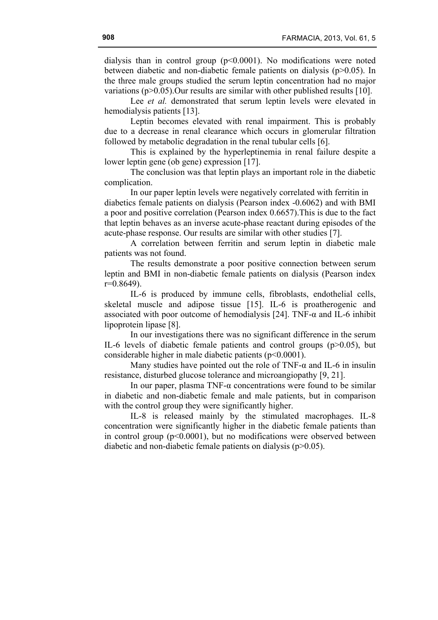dialysis than in control group  $(p<0.0001)$ . No modifications were noted between diabetic and non-diabetic female patients on dialysis (p>0.05). In the three male groups studied the serum leptin concentration had no major variations ( $p > 0.05$ ). Our results are similar with other published results [10].

Lee *et al.* demonstrated that serum leptin levels were elevated in hemodialysis patients [13].

Leptin becomes elevated with renal impairment. This is probably due to a decrease in renal clearance which occurs in glomerular filtration followed by metabolic degradation in the renal tubular cells [6].

This is explained by the hyperleptinemia in renal failure despite a lower leptin gene (ob gene) expression [17].

The conclusion was that leptin plays an important role in the diabetic complication.

In our paper leptin levels were negatively correlated with ferritin in

diabetics female patients on dialysis (Pearson index -0.6062) and with BMI a poor and positive correlation (Pearson index 0.6657).This is due to the fact that leptin behaves as an inverse acute-phase reactant during episodes of the acute-phase response. Our results are similar with other studies [7].

A correlation between ferritin and serum leptin in diabetic male patients was not found.

The results demonstrate a poor positive connection between serum leptin and BMI in non-diabetic female patients on dialysis (Pearson index  $r=0.8649$ ).

IL-6 is produced by immune cells, fibroblasts, endothelial cells, skeletal muscle and adipose tissue [15]. IL-6 is proatherogenic and associated with poor outcome of hemodialysis [24]. TNF- $\alpha$  and IL-6 inhibit lipoprotein lipase [8].

In our investigations there was no significant difference in the serum IL-6 levels of diabetic female patients and control groups  $(p>0.05)$ , but considerable higher in male diabetic patients (p<0.0001).

Many studies have pointed out the role of TNF- $\alpha$  and IL-6 in insulin resistance, disturbed glucose tolerance and microangiopathy [9, 21].

In our paper, plasma TNF- $\alpha$  concentrations were found to be similar in diabetic and non-diabetic female and male patients, but in comparison with the control group they were significantly higher.

IL-8 is released mainly by the stimulated macrophages. IL-8 concentration were significantly higher in the diabetic female patients than in control group  $(p<0.0001)$ , but no modifications were observed between diabetic and non-diabetic female patients on dialysis (p>0.05).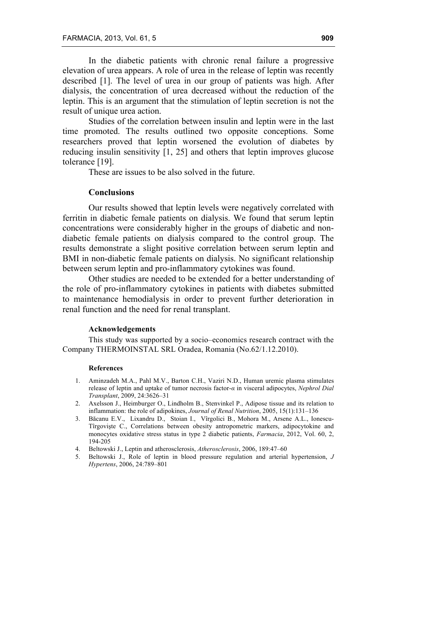In the diabetic patients with chronic renal failure a progressive elevation of urea appears. A role of urea in the release of leptin was recently described [1]. The level of urea in our group of patients was high. After dialysis, the concentration of urea decreased without the reduction of the leptin. This is an argument that the stimulation of leptin secretion is not the result of unique urea action.

Studies of the correlation between insulin and leptin were in the last time promoted. The results outlined two opposite conceptions. Some researchers proved that leptin worsened the evolution of diabetes by reducing insulin sensitivity [1, 25] and others that leptin improves glucose tolerance [19].

These are issues to be also solved in the future.

# **Conclusions**

Our results showed that leptin levels were negatively correlated with ferritin in diabetic female patients on dialysis. We found that serum leptin concentrations were considerably higher in the groups of diabetic and nondiabetic female patients on dialysis compared to the control group. The results demonstrate a slight positive correlation between serum leptin and BMI in non-diabetic female patients on dialysis. No significant relationship between serum leptin and pro-inflammatory cytokines was found.

Other studies are needed to be extended for a better understanding of the role of pro-inflammatory cytokines in patients with diabetes submitted to maintenance hemodialysis in order to prevent further deterioration in renal function and the need for renal transplant.

#### **Acknowledgements**

This study was supported by a socio–economics research contract with the Company THERMOINSTAL SRL Oradea, Romania (No.62/1.12.2010).

### **References**

- 1. Aminzadeh M.A., Pahl M.V., Barton C.H., Vaziri N.D., Human uremic plasma stimulates release of leptin and uptake of tumor necrosis factor-*α* in visceral adipocytes, *Nephrol Dial Transplant*, 2009, 24:3626–31
- 2. Axelsson J., Heimburger O., Lindholm B., Stenvinkel P., Adipose tissue and its relation to inflammation: the role of adipokines, *Journal of Renal Nutrition*, 2005, 15(1):131–136
- 3. Băcanu E.V., Lixandru D., Stoian I., Vîrgolici B., Mohora M., Arsene A.L., Ionescu-Tîrgovişte C., Correlations between obesity antropometric markers, adipocytokine and monocytes oxidative stress status in type 2 diabetic patients, *Farmacia*, 2012, Vol. 60, 2, 194-205
- 4. Beltowski J., Leptin and atherosclerosis, *Atherosclerosis*, 2006, 189:47–60
- 5. Beltowski J., Role of leptin in blood pressure regulation and arterial hypertension, *J Hypertens*, 2006, 24:789–801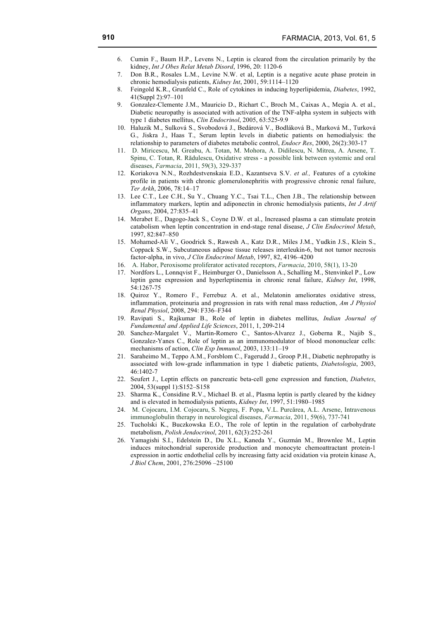- 6. Cumin F., Baum H.P., Levens N., Leptin is cleared from the circulation primarily by the kidney, *Int J Obes Relat Metab Disord*, 1996, 20: 1120-6
- 7. Don B.R., Rosales L.M., Levine N.W. et al, Leptin is a negative acute phase protein in chronic hemodialysis patients, *Kidney Int*, 2001, 59:1114–1120
- 8. Feingold K.R., Grunfeld C., Role of cytokines in inducing hyperlipidemia, *Diabetes*, 1992, 41(Suppl 2):97–101
- 9. Gonzalez-Clemente J.M., Mauricio D., Richart C., Broch M., Caixas A., Megia A. et al., Diabetic neuropathy is associated with activation of the TNF-alpha system in subjects with type 1 diabetes mellitus, *Clin Endocrinol*, 2005, 63:525-9.9
- 10. Haluzik M., Sulková S., Svobodová J., Bedárová V., Bodláková B., Marková M., Turková G., Jiskra J., Haas T., Serum leptin levels in diabetic patients on hemodialysis: the relationship to parameters of diabetes metabolic control, *Endocr Res*, 2000, 26(2):303-17
- 11. D. Miricescu, M. Greabu, A. Totan, M. Mohora, A. Didilescu, N. Mitrea, A. Arsene, T. Spinu, C. Totan, R. Rădulescu, Oxidative stress - a possible link between systemic and oral diseases, *Farmacia*, 2011, 59(3), 329-337
- 12. Koriakova N.N., Rozhdestvenskaia E.D., Kazantseva S.V. *et al.,* Features of a cytokine profile in patients with chronic glomerulonephritis with progressive chronic renal failure, *Ter Arkh*, 2006, 78:14–17
- 13. Lee C.T., Lee C.H., Su Y., Chuang Y.C., Tsai T.L., Chen J.B., The relationship between inflammatory markers, leptin and adiponectin in chronic hemodialysis patients, *Int J Artif Organs*, 2004, 27:835–41
- 14. Merabet E., Dagogo-Jack S., Coyne D.W. et al., Increased plasma a can stimulate protein catabolism when leptin concentration in end-stage renal disease, *J Clin Endocrinol Metab*, 1997, 82:847–850
- 15. Mohamed-Ali V., Goodrick S., Rawesh A., Katz D.R., Miles J.M., Yudkin J.S., Klein S., Coppack S.W., Subcutaneous adipose tissue releases interleukin-6, but not tumor necrosis factor-alpha, in vivo, *J Clin Endocrinol Metab*, 1997, 82, 4196–4200
- 16. A. Habor, Peroxisome proliferator activated receptors, *Farmacia*, 2010, 58(1), 13-20
- 17. Nordfors L., Lonnqvist F., Heimburger O., Danielsson A., Schalling M., Stenvinkel P., Low leptin gene expression and hyperleptinemia in chronic renal failure, *Kidney Int*, 1998, 54:1267-75
- 18. Quiroz Y., Romero F., Ferrebuz A. et al., Melatonin ameliorates oxidative stress, inflammation, proteinuria and progression in rats with renal mass reduction, *Am J Physiol Renal Physiol*, 2008, 294: F336–F344
- 19. Ravipati S., Rajkumar B., Role of leptin in diabetes mellitus, *Indian Journal of Fundamental and Applied Life Sciences*, 2011, 1, 209-214
- 20. Sanchez-Margalet V., Martin-Romero C., Santos-Alvarez J., Goberna R., Najib S., Gonzalez-Yanes C., Role of leptin as an immunomodulator of blood mononuclear cells: mechanisms of action, *Clin Exp Immunol*, 2003, 133:11–19
- 21. Saraheimo M., Teppo A.M., Forsblom C., Fagerudd J., Groop P.H., Diabetic nephropathy is associated with low-grade inflammation in type 1 diabetic patients, *Diabetologia*, 2003, 46:1402-7
- 22. Seufert J., Leptin effects on pancreatic beta-cell gene expression and function, *Diabetes*, 2004, 53(suppl 1):S152–S158
- 23. Sharma K., Considine R.V., Michael B. et al., Plasma leptin is partly cleared by the kidney and is elevated in hemodialysis patients, *Kidney Int*, 1997, 51:1980–1985
- 24. M. Cojocaru, I.M. Cojocaru, S. Negreş, F. Popa, V.L. Purcărea, A.L. Arsene, Intravenous immunoglobulin therapy in neurological diseases, *Farmacia*, 2011, 59(6), 737-741
- 25. Tucholski K., Buczkowska E.O., The role of leptin in the regulation of carbohydrate metabolism, *Polish Jendocrinol*, 2011, 62(3):252-261
- 26. Yamagishi S.I., Edelstein D., Du X.L., Kaneda Y., Guzmán M., Brownlee M., Leptin induces mitochondrial superoxide production and monocyte chemoattractant protein-1 expression in aortic endothelial cells by increasing fatty acid oxidation via protein kinase A, *J Biol Chem*, 2001, 276:25096 –25100